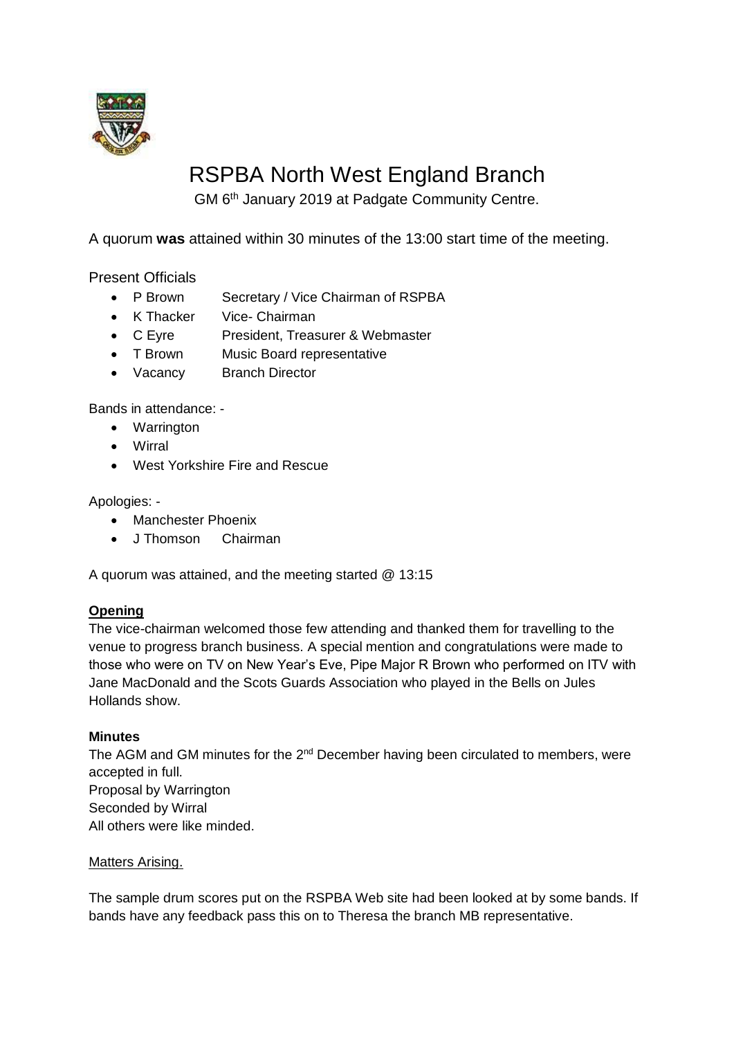

# RSPBA North West England Branch

GM 6<sup>th</sup> January 2019 at Padgate Community Centre.

A quorum **was** attained within 30 minutes of the 13:00 start time of the meeting.

Present Officials

- P Brown Secretary / Vice Chairman of RSPBA
- K Thacker Vice- Chairman
- C Eyre President, Treasurer & Webmaster
- T Brown Music Board representative
- Vacancy Branch Director

Bands in attendance: -

- Warrington
- Wirral
- West Yorkshire Fire and Rescue

Apologies: -

- Manchester Phoenix
- J Thomson Chairman

A quorum was attained, and the meeting started @ 13:15

# **Opening**

The vice-chairman welcomed those few attending and thanked them for travelling to the venue to progress branch business. A special mention and congratulations were made to those who were on TV on New Year's Eve, Pipe Major R Brown who performed on ITV with Jane MacDonald and the Scots Guards Association who played in the Bells on Jules Hollands show.

## **Minutes**

The AGM and GM minutes for the 2<sup>nd</sup> December having been circulated to members, were accepted in full. Proposal by Warrington Seconded by Wirral All others were like minded.

## Matters Arising.

The sample drum scores put on the RSPBA Web site had been looked at by some bands. If bands have any feedback pass this on to Theresa the branch MB representative.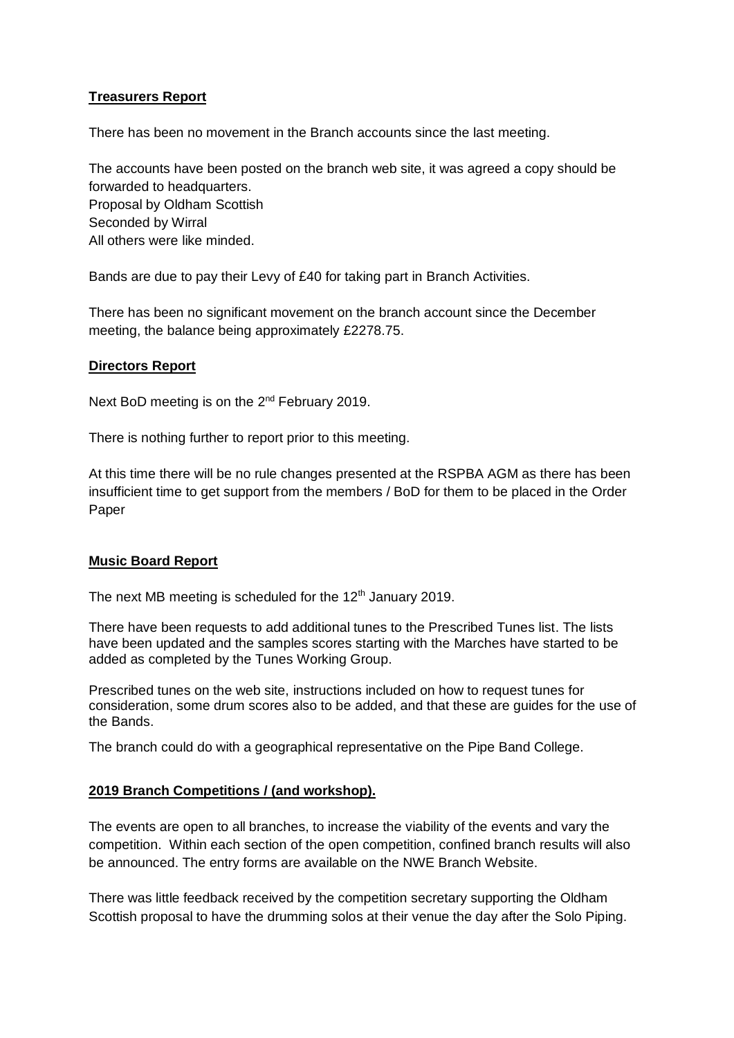# **Treasurers Report**

There has been no movement in the Branch accounts since the last meeting.

The accounts have been posted on the branch web site, it was agreed a copy should be forwarded to headquarters. Proposal by Oldham Scottish Seconded by Wirral All others were like minded.

Bands are due to pay their Levy of £40 for taking part in Branch Activities.

There has been no significant movement on the branch account since the December meeting, the balance being approximately £2278.75.

#### **Directors Report**

Next BoD meeting is on the 2<sup>nd</sup> February 2019.

There is nothing further to report prior to this meeting.

At this time there will be no rule changes presented at the RSPBA AGM as there has been insufficient time to get support from the members / BoD for them to be placed in the Order Paper

## **Music Board Report**

The next MB meeting is scheduled for the  $12<sup>th</sup>$  January 2019.

There have been requests to add additional tunes to the Prescribed Tunes list. The lists have been updated and the samples scores starting with the Marches have started to be added as completed by the Tunes Working Group.

Prescribed tunes on the web site, instructions included on how to request tunes for consideration, some drum scores also to be added, and that these are guides for the use of the Bands.

The branch could do with a geographical representative on the Pipe Band College.

## **2019 Branch Competitions / (and workshop).**

The events are open to all branches, to increase the viability of the events and vary the competition. Within each section of the open competition, confined branch results will also be announced. The entry forms are available on the NWE Branch Website.

There was little feedback received by the competition secretary supporting the Oldham Scottish proposal to have the drumming solos at their venue the day after the Solo Piping.